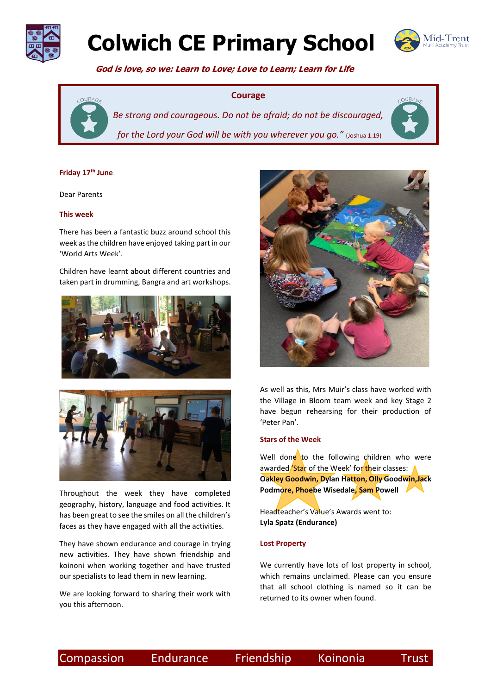

# **Colwich CE Primary School**



COURA

 **God is love, so we: Learn to Love; Love to Learn; Learn for Life**

### **Courage**



*Be strong and courageous. Do not be afraid; do not be discouraged, for the Lord your God will be with you wherever you go.*" (Joshua 1:19)

#### **Friday 17th June**

Dear Parents

### **This week**

There has been a fantastic buzz around school this week as the children have enjoyed taking part in our 'World Arts Week'.

Children have learnt about different countries and taken part in drumming, Bangra and art workshops.





Throughout the week they have completed geography, history, language and food activities. It has been great to see the smiles on all the children's faces as they have engaged with all the activities.

They have shown endurance and courage in trying new activities. They have shown friendship and koinoni when working together and have trusted our specialists to lead them in new learning.

We are looking forward to sharing their work with you this afternoon.



As well as this, Mrs Muir's class have worked with the Village in Bloom team week and key Stage 2 have begun rehearsing for their production of 'Peter Pan'.

### **Stars of the Week**

Well done to the following children who were awarded **'Star** of the Week' for their classes: **Oakley Goodwin, Dylan Hatton, Olly Goodwin,Jack Podmore, Phoebe Wisedale, Sam Powell**

Headteacher's Value's Awards went to: **Lyla Spatz (Endurance)** 

#### **Lost Property**

We currently have lots of lost property in school, which remains unclaimed. Please can you ensure that all school clothing is named so it can be returned to its owner when found.

Compassion Endurance Friendship Koinonia Trust

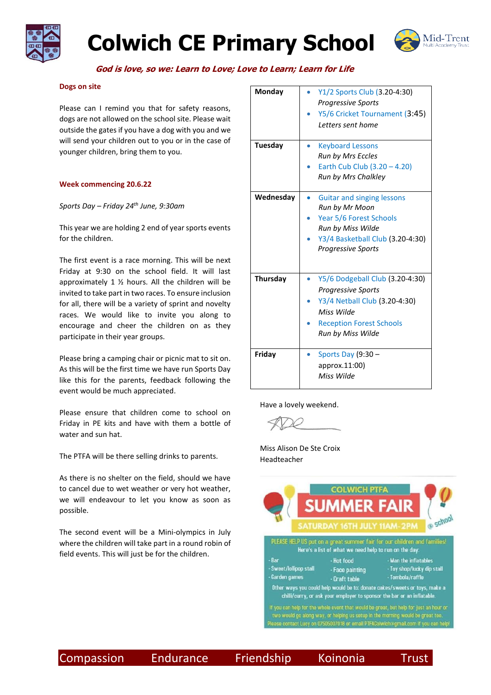

## **Colwich CE Primary School**



 **God is love, so we: Learn to Love; Love to Learn; Learn for Life**

### **Dogs on site**

Please can I remind you that for safety reasons, dogs are not allowed on the school site. Please wait outside the gates if you have a dog with you and we will send your children out to you or in the case of younger children, bring them to you.

### **Week commencing 20.6.22**

*Sports Day – Friday 24th June, 9:30am*

This year we are holding 2 end of year sports events for the children.

The first event is a race morning. This will be next Friday at 9:30 on the school field. It will last approximately 1  $\frac{1}{2}$  hours. All the children will be invited to take part in two races. To ensure inclusion for all, there will be a variety of sprint and novelty races. We would like to invite you along to encourage and cheer the children on as they participate in their year groups.

Please bring a camping chair or picnic mat to sit on. As this will be the first time we have run Sports Day like this for the parents, feedback following the event would be much appreciated.

Please ensure that children come to school on Friday in PE kits and have with them a bottle of water and sun hat.

The PTFA will be there selling drinks to parents.

As there is no shelter on the field, should we have to cancel due to wet weather or very hot weather, we will endeavour to let you know as soon as possible.

The second event will be a Mini-olympics in July where the children will take part in a round robin of field events. This will just be for the children.

| <b>Monday</b>  | Y1/2 Sports Club (3.20-4:30)<br><b>Progressive Sports</b><br>Y5/6 Cricket Tournament (3:45)<br>Letters sent home                                                     |
|----------------|----------------------------------------------------------------------------------------------------------------------------------------------------------------------|
| <b>Tuesday</b> | <b>Keyboard Lessons</b><br><b>Run by Mrs Eccles</b><br>Earth Cub Club $(3.20 - 4.20)$<br><b>Run by Mrs Chalkley</b>                                                  |
| Wednesday      | <b>Guitar and singing lessons</b><br>Run by Mr Moon<br>Year 5/6 Forest Schools<br>Run by Miss Wilde<br>Y3/4 Basketball Club (3.20-4:30)<br><b>Progressive Sports</b> |
| Thursday       | Y5/6 Dodgeball Club (3.20-4:30)<br><b>Progressive Sports</b><br>Y3/4 Netball Club (3.20-4:30)<br>Miss Wilde<br><b>Reception Forest Schools</b><br>Run by Miss Wilde  |
| Friday         | Sports Day (9:30 -<br>approx.11:00)<br>Miss Wilde                                                                                                                    |

Have a lovely weekend.

Miss Alison De Ste Croix Headteacher